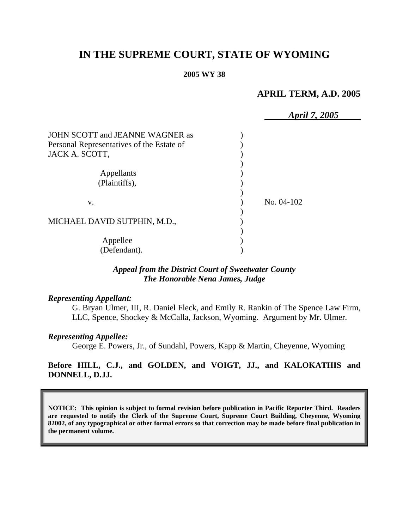# **IN THE SUPREME COURT, STATE OF WYOMING**

#### **2005 WY 38**

# **APRIL TERM, A.D. 2005**

|                                           | April 7, 2005 |
|-------------------------------------------|---------------|
| JOHN SCOTT and JEANNE WAGNER as           |               |
| Personal Representatives of the Estate of |               |
| JACK A. SCOTT,                            |               |
|                                           |               |
| Appellants                                |               |
| (Plaintiffs),                             |               |
|                                           |               |
| V.                                        | No. 04-102    |
|                                           |               |
| MICHAEL DAVID SUTPHIN, M.D.,              |               |
|                                           |               |
| Appellee                                  |               |
| (Defendant).                              |               |

## *Appeal from the District Court of Sweetwater County The Honorable Nena James, Judge*

#### *Representing Appellant:*

G. Bryan Ulmer, III, R. Daniel Fleck, and Emily R. Rankin of The Spence Law Firm, LLC, Spence, Shockey & McCalla, Jackson, Wyoming. Argument by Mr. Ulmer.

#### *Representing Appellee:*

George E. Powers, Jr., of Sundahl, Powers, Kapp & Martin, Cheyenne, Wyoming

## **Before HILL, C.J., and GOLDEN, and VOIGT, JJ., and KALOKATHIS and DONNELL, D.JJ.**

**NOTICE: This opinion is subject to formal revision before publication in Pacific Reporter Third. Readers are requested to notify the Clerk of the Supreme Court, Supreme Court Building, Cheyenne, Wyoming 82002, of any typographical or other formal errors so that correction may be made before final publication in the permanent volume.**